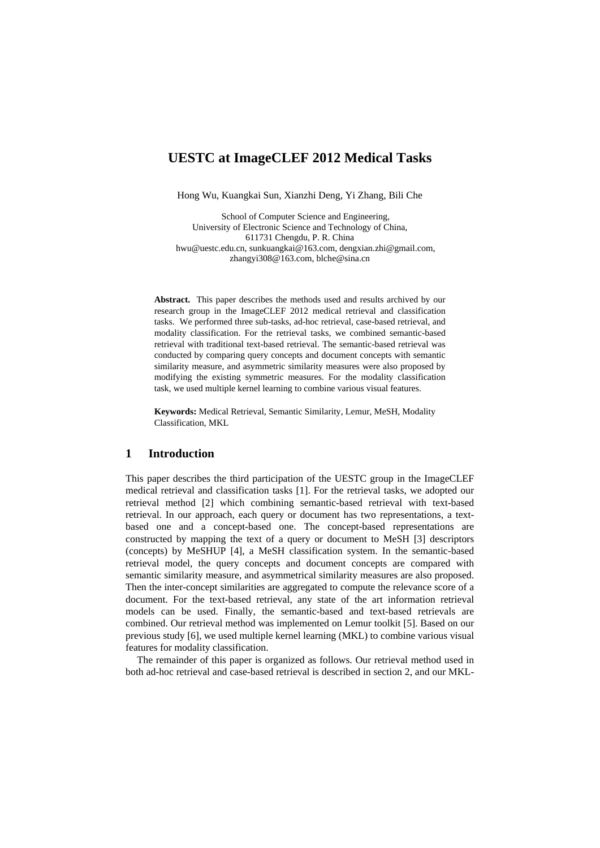# **UESTC at ImageCLEF 2012 Medical Tasks**

Hong Wu, Kuangkai Sun, Xianzhi Deng, Yi Zhang, Bili Che

School of Computer Science and Engineering, University of Electronic Science and Technology of China, 611731 Chengdu, P. R. China hwu@uestc.edu.cn, sunkuangkai@163.com, dengxian.zhi@gmail.com, zhangyi308@163.com, blche@sina.cn

**Abstract.** This paper describes the methods used and results archived by our research group in the ImageCLEF 2012 medical retrieval and classification tasks. We performed three sub-tasks, ad-hoc retrieval, case-based retrieval, and modality classification. For the retrieval tasks, we combined semantic-based retrieval with traditional text-based retrieval. The semantic-based retrieval was conducted by comparing query concepts and document concepts with semantic similarity measure, and asymmetric similarity measures were also proposed by modifying the existing symmetric measures. For the modality classification task, we used multiple kernel learning to combine various visual features.

**Keywords:** Medical Retrieval, Semantic Similarity, Lemur, MeSH, Modality Classification, MKL

# **1 Introduction**

This paper describes the third participation of the UESTC group in the ImageCLEF medical retrieval and classification tasks [1]. For the retrieval tasks, we adopted our retrieval method [2] which combining semantic-based retrieval with text-based retrieval. In our approach, each query or document has two representations, a textbased one and a concept-based one. The concept-based representations are constructed by mapping the text of a query or document to MeSH [3] descriptors (concepts) by MeSHUP [4], a MeSH classification system. In the semantic-based retrieval model, the query concepts and document concepts are compared with semantic similarity measure, and asymmetrical similarity measures are also proposed. Then the inter-concept similarities are aggregated to compute the relevance score of a document. For the text-based retrieval, any state of the art information retrieval models can be used. Finally, the semantic-based and text-based retrievals are combined. Our retrieval method was implemented on Lemur toolkit [5]. Based on our previous study [6], we used multiple kernel learning (MKL) to combine various visual features for modality classification.

The remainder of this paper is organized as follows. Our retrieval method used in both ad-hoc retrieval and case-based retrieval is described in section 2, and our MKL-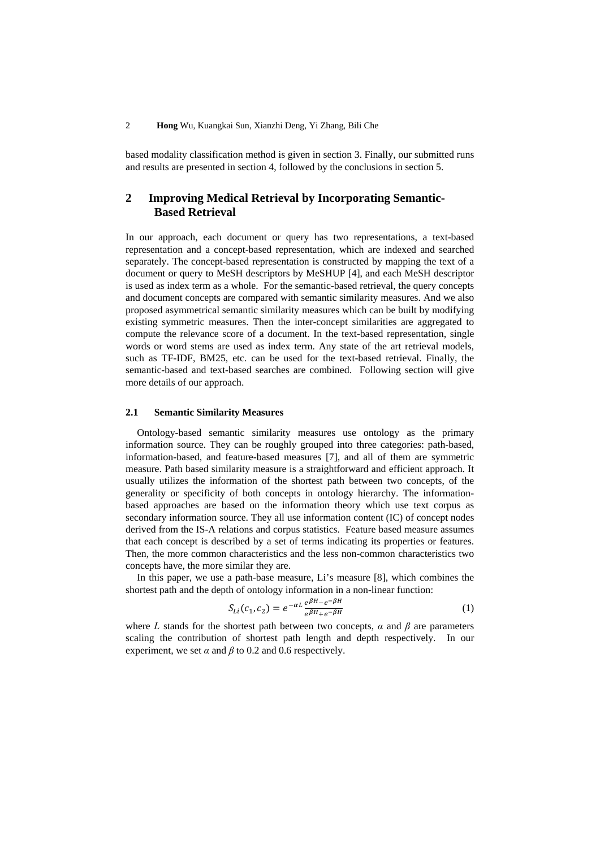based modality classification method is given in section 3. Finally, our submitted runs and results are presented in section 4, followed by the conclusions in section 5.

# **2 Improving Medical Retrieval by Incorporating Semantic-Based Retrieval**

In our approach, each document or query has two representations, a text-based representation and a concept-based representation, which are indexed and searched separately. The concept-based representation is constructed by mapping the text of a document or query to MeSH descriptors by MeSHUP [4], and each MeSH descriptor is used as index term as a whole. For the semantic-based retrieval, the query concepts and document concepts are compared with semantic similarity measures. And we also proposed asymmetrical semantic similarity measures which can be built by modifying existing symmetric measures. Then the inter-concept similarities are aggregated to compute the relevance score of a document. In the text-based representation, single words or word stems are used as index term. Any state of the art retrieval models, such as TF-IDF, BM25, etc. can be used for the text-based retrieval. Finally, the semantic-based and text-based searches are combined. Following section will give more details of our approach.

## **2.1 Semantic Similarity Measures**

Ontology-based semantic similarity measures use ontology as the primary information source. They can be roughly grouped into three categories: path-based, information-based, and feature-based measures [7], and all of them are symmetric measure. Path based similarity measure is a straightforward and efficient approach. It usually utilizes the information of the shortest path between two concepts, of the generality or specificity of both concepts in ontology hierarchy. The informationbased approaches are based on the information theory which use text corpus as secondary information source. They all use information content (IC) of concept nodes derived from the IS-A relations and corpus statistics. Feature based measure assumes that each concept is described by a set of terms indicating its properties or features. Then, the more common characteristics and the less non-common characteristics two concepts have, the more similar they are.

In this paper, we use a path-base measure, Li's measure [8], which combines the shortest path and the depth of ontology information in a non-linear function:

$$
S_{Li}(c_1, c_2) = e^{-\alpha L} \frac{e^{\beta H} - e^{-\beta H}}{e^{\beta H} + e^{-\beta H}}
$$
\n(1)

where *L* stands for the shortest path between two concepts,  $\alpha$  and  $\beta$  are parameters scaling the contribution of shortest path length and depth respectively. In our experiment, we set  $\alpha$  and  $\beta$  to 0.2 and 0.6 respectively.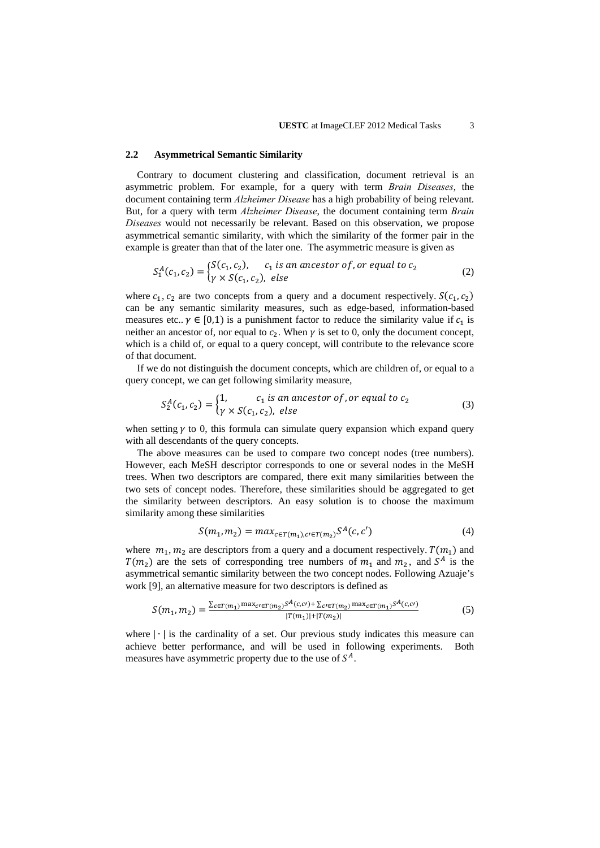#### **2.2 Asymmetrical Semantic Similarity**

Contrary to document clustering and classification, document retrieval is an asymmetric problem. For example, for a query with term *Brain Diseases*, the document containing term *Alzheimer Disease* has a high probability of being relevant. But, for a query with term *Alzheimer Disease*, the document containing term *Brain Diseases* would not necessarily be relevant. Based on this observation, we propose asymmetrical semantic similarity, with which the similarity of the former pair in the example is greater than that of the later one. The asymmetric measure is given as

$$
S_1^A(c_1, c_2) = \begin{cases} S(c_1, c_2), & c_1 \text{ is an ancestor of, or equal to } c_2 \\ \gamma \times S(c_1, c_2), & \text{else} \end{cases}
$$
 (2)

where  $c_1$ ,  $c_2$  are two concepts from a query and a document respectively.  $S(c_1, c_2)$ can be any semantic similarity measures, such as edge-based, information-based measures etc..  $\gamma \in [0,1)$  is a punishment factor to reduce the similarity value if  $c_1$  is neither an ancestor of, nor equal to  $c_2$ . When  $\gamma$  is set to 0, only the document concept, which is a child of, or equal to a query concept, will contribute to the relevance score of that document.

If we do not distinguish the document concepts, which are children of, or equal to a query concept, we can get following similarity measure,

$$
S_2^A(c_1, c_2) = \begin{cases} 1, & c_1 \text{ is an ancestor of, or equal to } c_2 \\ \gamma \times S(c_1, c_2), & \text{else} \end{cases}
$$
(3)

when setting  $\gamma$  to 0, this formula can simulate query expansion which expand query with all descendants of the query concepts.

The above measures can be used to compare two concept nodes (tree numbers). However, each MeSH descriptor corresponds to one or several nodes in the MeSH trees. When two descriptors are compared, there exit many similarities between the two sets of concept nodes. Therefore, these similarities should be aggregated to get the similarity between descriptors. An easy solution is to choose the maximum similarity among these similarities

$$
S(m_1, m_2) = max_{c \in T(m_1), c \in T(m_2)} S^A(c, c')
$$
 (4)

where  $m_1$ ,  $m_2$  are descriptors from a query and a document respectively.  $T(m_1)$  and  $T(m_2)$  are the sets of corresponding tree numbers of  $m_1$  and  $m_2$ , and  $S^A$  is the asymmetrical semantic similarity between the two concept nodes. Following Azuaje's work [9], an alternative measure for two descriptors is defined as

$$
S(m_1, m_2) = \frac{\sum_{c \in T(m_1)} \max_{c \in T(m_2)} s^A(c, c) + \sum_{c \in T(m_2)} \max_{c \in T(m_1)} s^A(c, c)}{|T(m_1)| + |T(m_2)|}
$$
(5)

where |∙| is the cardinality of a set. Our previous study indicates this measure can achieve better performance, and will be used in following experiments. Both measures have asymmetric property due to the use of  $S^A$ .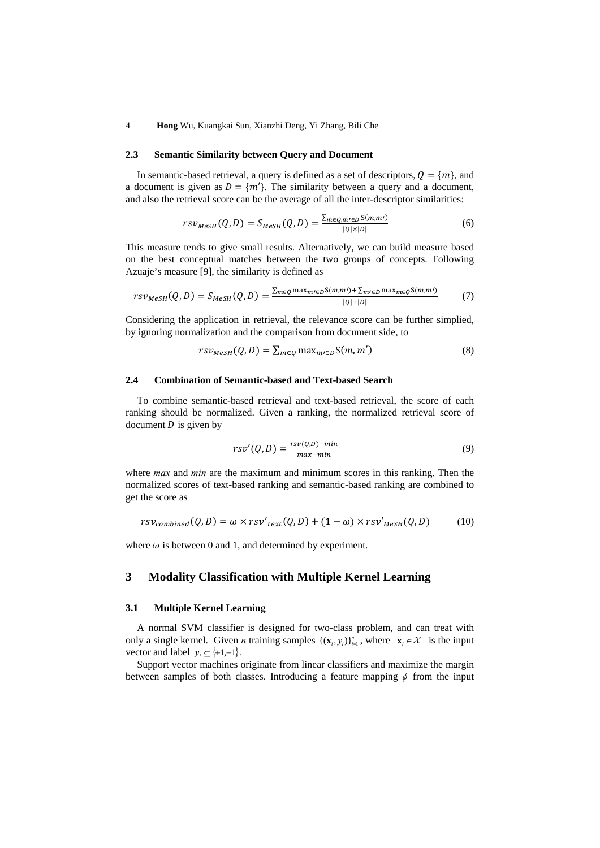4 **Hong** Wu, Kuangkai Sun, Xianzhi Deng, Yi Zhang, Bili Che

#### **2.3 Semantic Similarity between Query and Document**

In semantic-based retrieval, a query is defined as a set of descriptors,  $Q = \{m\}$ , and a document is given as  $D = \{m'\}$ . The similarity between a query and a document, and also the retrieval score can be the average of all the inter-descriptor similarities:

$$
rsv_{MeSH}(Q, D) = S_{MeSH}(Q, D) = \frac{\sum_{m \in Q, m \neq D} S(m, m)}{|Q| \times |D|} \tag{6}
$$

This measure tends to give small results. Alternatively, we can build measure based on the best conceptual matches between the two groups of concepts. Following Azuaje's measure [9], the similarity is defined as

$$
rsv_{MeSH}(Q, D) = S_{MeSH}(Q, D) = \frac{\sum_{m \in Q} \max_{m \in D} S(m, m') + \sum_{m \in D} \max_{m \in Q} S(m, m')}{|Q| + |D|}
$$
(7)

Considering the application in retrieval, the relevance score can be further simplied, by ignoring normalization and the comparison from document side, to

$$
rsv_{MeSH}(Q, D) = \sum_{m \in Q} \max_{m \in D} S(m, m')
$$
 (8)

## **2.4 Combination of Semantic-based and Text-based Search**

To combine semantic-based retrieval and text-based retrieval, the score of each ranking should be normalized. Given a ranking, the normalized retrieval score of document  $D$  is given by

$$
rsv'(Q, D) = \frac{rsv(Q,D) - min}{max - min}
$$
\n(9)

where *max* and *min* are the maximum and minimum scores in this ranking. Then the normalized scores of text-based ranking and semantic-based ranking are combined to get the score as

$$
rsv_{combined}(Q, D) = \omega \times rsv'_{text}(Q, D) + (1 - \omega) \times rsv'_{\text{MeSH}}(Q, D)
$$
 (10)

where  $\omega$  is between 0 and 1, and determined by experiment.

## **3 Modality Classification with Multiple Kernel Learning**

### **3.1 Multiple Kernel Learning**

A normal SVM classifier is designed for two-class problem, and can treat with only a single kernel. Given *n* training samples  $\{(\mathbf{x}_i, y_i)\}_{i=1}^n$ , where  $\mathbf{x}_i \in \mathcal{X}$  is the input vector and label  $y_i \subseteq \{+1,-1\}$ .

Support vector machines originate from linear classifiers and maximize the margin between samples of both classes. Introducing a feature mapping  $\phi$  from the input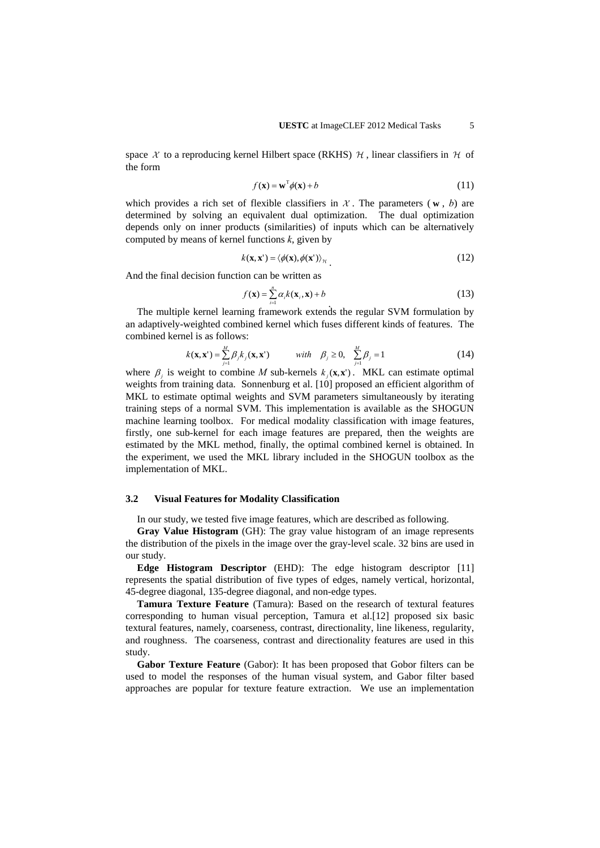space X to a reproducing kernel Hilbert space (RKHS)  $\mathcal{H}$ , linear classifiers in  $\mathcal{H}$  of the form

$$
f(\mathbf{x}) = \mathbf{w}^{\mathrm{T}} \phi(\mathbf{x}) + b \tag{11}
$$

which provides a rich set of flexible classifiers in  $\mathcal{X}$ . The parameters ( $\bf{w}$ , *b*) are determined by solving an equivalent dual optimization. The dual optimization depends only on inner products (similarities) of inputs which can be alternatively computed by means of kernel functions *k*, given by

$$
k(\mathbf{x}, \mathbf{x}') = \langle \phi(\mathbf{x}), \phi(\mathbf{x}') \rangle_{\mathcal{H}}.\tag{12}
$$

And the final decision function can be written as

$$
f(\mathbf{x}) = \sum_{i=1}^{n} \alpha_i k(\mathbf{x}_i, \mathbf{x}) + b
$$
\n(13)

The multiple kernel learning framework extends the regular SVM formulation by an adaptively-weighted combined kernel which fuses different kinds of features. The combined kernel is as follows:

$$
k(\mathbf{x}, \mathbf{x}') = \sum_{j=1}^{M} \beta_j k_j(\mathbf{x}, \mathbf{x}')
$$
 with  $\beta_j \ge 0$ ,  $\sum_{j=1}^{M} \beta_j = 1$  (14)

where  $\beta_i$  is weight to combine *M* sub-kernels  $k_i(\mathbf{x}, \mathbf{x}^*)$ . MKL can estimate optimal weights from training data. Sonnenburg et al. [10] proposed an efficient algorithm of MKL to estimate optimal weights and SVM parameters simultaneously by iterating training steps of a normal SVM. This implementation is available as the SHOGUN machine learning toolbox. For medical modality classification with image features, firstly, one sub-kernel for each image features are prepared, then the weights are estimated by the MKL method, finally, the optimal combined kernel is obtained. In the experiment, we used the MKL library included in the SHOGUN toolbox as the implementation of MKL.

### **3.2 Visual Features for Modality Classification**

In our study, we tested five image features, which are described as following.

**Gray Value Histogram** (GH): The gray value histogram of an image represents the distribution of the pixels in the image over the gray-level scale. 32 bins are used in our study.

**Edge Histogram Descriptor** (EHD): The edge histogram descriptor [11] represents the spatial distribution of five types of edges, namely vertical, horizontal, 45-degree diagonal, 135-degree diagonal, and non-edge types.

**Tamura Texture Feature** (Tamura): Based on the research of textural features corresponding to human visual perception, Tamura et al.[12] proposed six basic textural features, namely, coarseness, contrast, directionality, line likeness, regularity, and roughness. The coarseness, contrast and directionality features are used in this study.

**Gabor Texture Feature** (Gabor): It has been proposed that Gobor filters can be used to model the responses of the human visual system, and Gabor filter based approaches are popular for texture feature extraction. We use an implementation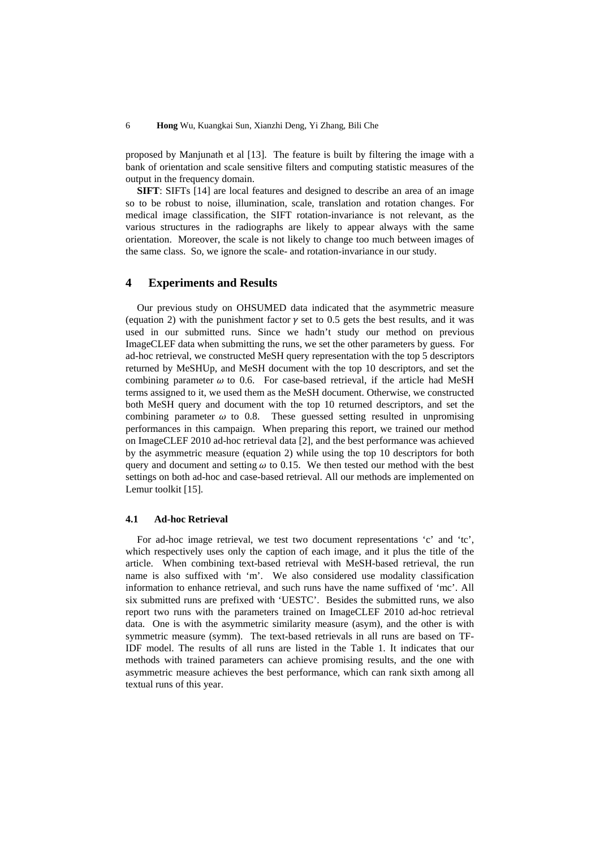proposed by Manjunath et al [13]. The feature is built by filtering the image with a bank of orientation and scale sensitive filters and computing statistic measures of the output in the frequency domain.

**SIFT**: SIFTs [14] are local features and designed to describe an area of an image so to be robust to noise, illumination, scale, translation and rotation changes. For medical image classification, the SIFT rotation-invariance is not relevant, as the various structures in the radiographs are likely to appear always with the same orientation. Moreover, the scale is not likely to change too much between images of the same class. So, we ignore the scale- and rotation-invariance in our study.

## **4 Experiments and Results**

Our previous study on OHSUMED data indicated that the asymmetric measure (equation 2) with the punishment factor  $\gamma$  set to 0.5 gets the best results, and it was used in our submitted runs. Since we hadn't study our method on previous ImageCLEF data when submitting the runs, we set the other parameters by guess. For ad-hoc retrieval, we constructed MeSH query representation with the top 5 descriptors returned by MeSHUp, and MeSH document with the top 10 descriptors, and set the combining parameter  $\omega$  to 0.6. For case-based retrieval, if the article had MeSH terms assigned to it, we used them as the MeSH document. Otherwise, we constructed both MeSH query and document with the top 10 returned descriptors, and set the combining parameter  $\omega$  to 0.8. These guessed setting resulted in unpromising performances in this campaign. When preparing this report, we trained our method on ImageCLEF 2010 ad-hoc retrieval data [2], and the best performance was achieved by the asymmetric measure (equation 2) while using the top 10 descriptors for both query and document and setting  $\omega$  to 0.15. We then tested our method with the best settings on both ad-hoc and case-based retrieval. All our methods are implemented on Lemur toolkit [15].

#### **4.1 Ad-hoc Retrieval**

For ad-hoc image retrieval, we test two document representations 'c' and 'tc', which respectively uses only the caption of each image, and it plus the title of the article. When combining text-based retrieval with MeSH-based retrieval, the run name is also suffixed with 'm'. We also considered use modality classification information to enhance retrieval, and such runs have the name suffixed of 'mc'. All six submitted runs are prefixed with 'UESTC'. Besides the submitted runs, we also report two runs with the parameters trained on ImageCLEF 2010 ad-hoc retrieval data. One is with the asymmetric similarity measure (asym), and the other is with symmetric measure (symm). The text-based retrievals in all runs are based on TF-IDF model. The results of all runs are listed in the Table 1. It indicates that our methods with trained parameters can achieve promising results, and the one with asymmetric measure achieves the best performance, which can rank sixth among all textual runs of this year.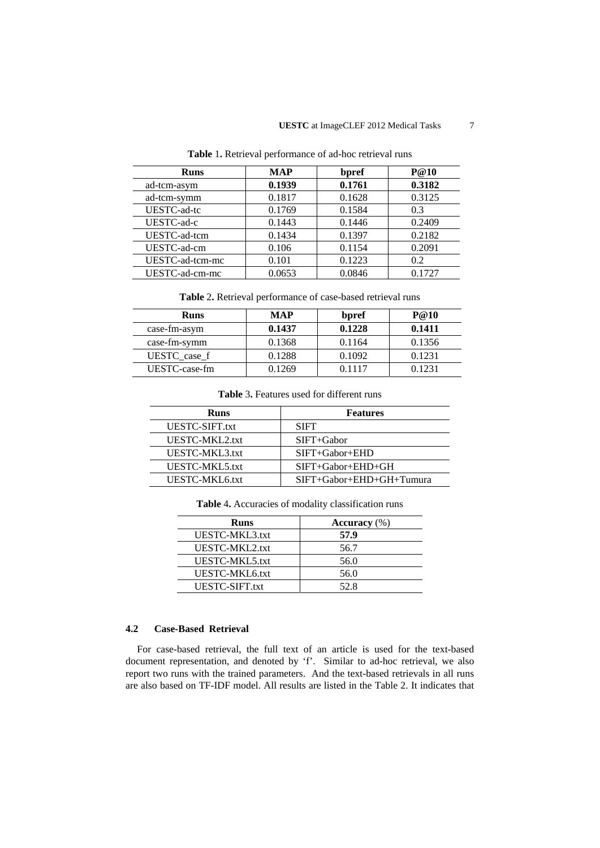| <b>Runs</b>     | <b>MAP</b> | bpref  | <b>P</b> @10 |
|-----------------|------------|--------|--------------|
| ad-tcm-asym     | 0.1939     | 0.1761 | 0.3182       |
| ad-tcm-symm     | 0.1817     | 0.1628 | 0.3125       |
| UESTC-ad-tc     | 0.1769     | 0.1584 | 0.3          |
| UESTC-ad-c      | 0.1443     | 0.1446 | 0.2409       |
| UESTC-ad-tcm    | 0.1434     | 0.1397 | 0.2182       |
| UESTC-ad-cm     | 0.106      | 0.1154 | 0.2091       |
| UESTC-ad-tcm-mc | 0.101      | 0.1223 | 0.2          |
| UESTC-ad-cm-mc  | 0.0653     | 0.0846 | 0.1727       |

**Table** 1**.** Retrieval performance of ad-hoc retrieval runs

**Table** 2**.** Retrieval performance of case-based retrieval runs

| <b>Runs</b>   | <b>MAP</b> | bpref  | P@10   |
|---------------|------------|--------|--------|
| case-fm-asym  | 0.1437     | 0.1228 | 0.1411 |
| case-fm-symm  | 0.1368     | 0.1164 | 0.1356 |
| UESTC case f  | 0.1288     | 0.1092 | 0.1231 |
| UESTC-case-fm | 0.1269     | 0.1117 | 0.1231 |

**Table** 3**.** Features used for different runs

| Runs           | <b>Features</b>                    |
|----------------|------------------------------------|
| UESTC-SIFT.txt | <b>SIFT</b>                        |
| UESTC-MKL2.txt | $SIFT + Gabor$                     |
| UESTC-MKL3.txt | $SIFT + Gabor + EHD$               |
| UESTC-MKL5.txt | $SIFT + Gabor + EHD + GH$          |
| UESTC-MKL6.txt | $SIFT + Gabor + EHD + GH + Tumura$ |

**Table** 4**.** Accuracies of modality classification runs

| <b>Runs</b>    | Accuracy $(\%)$ |
|----------------|-----------------|
| UESTC-MKL3.txt | 57.9            |
| UESTC-MKL2.txt | 56.7            |
| UESTC-MKL5.txt | 56.0            |
| UESTC-MKL6.txt | 56.0            |
| UESTC-SIFT.txt | 52. R           |

# **4.2 Case-Based Retrieval**

For case-based retrieval, the full text of an article is used for the text-based document representation, and denoted by 'f'. Similar to ad-hoc retrieval, we also report two runs with the trained parameters. And the text-based retrievals in all runs are also based on TF-IDF model. All results are listed in the Table 2. It indicates that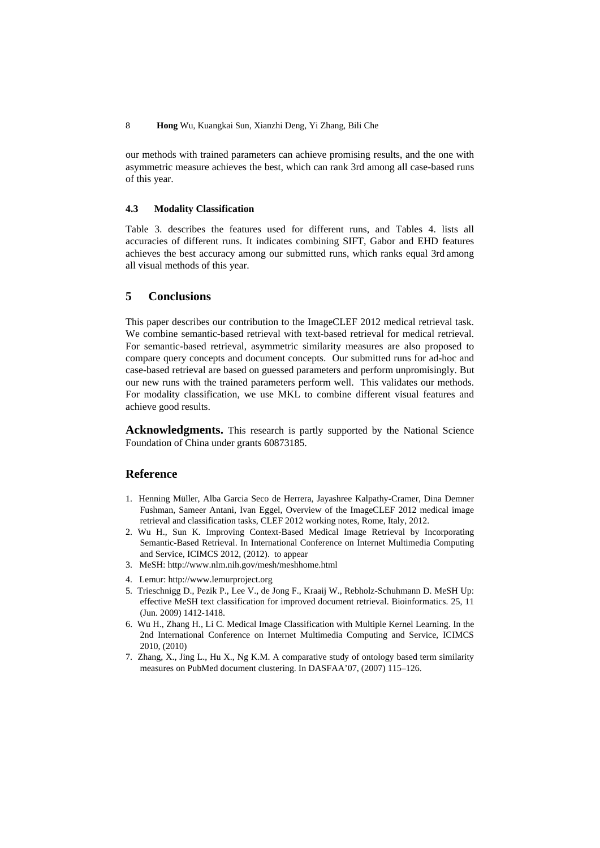our methods with trained parameters can achieve promising results, and the one with asymmetric measure achieves the best, which can rank 3rd among all case-based runs of this year.

### **4.3 Modality Classification**

Table 3. describes the features used for different runs, and Tables 4. lists all accuracies of different runs. It indicates combining SIFT, Gabor and EHD features achieves the best accuracy among our submitted runs, which ranks equal 3rd among all visual methods of this year.

# **5 Conclusions**

This paper describes our contribution to the ImageCLEF 2012 medical retrieval task. We combine semantic-based retrieval with text-based retrieval for medical retrieval. For semantic-based retrieval, asymmetric similarity measures are also proposed to compare query concepts and document concepts. Our submitted runs for ad-hoc and case-based retrieval are based on guessed parameters and perform unpromisingly. But our new runs with the trained parameters perform well. This validates our methods. For modality classification, we use MKL to combine different visual features and achieve good results.

**Acknowledgments.** This research is partly supported by the National Science Foundation of China under grants 60873185.

## **Reference**

- 1. Henning Müller, Alba Garcia Seco de Herrera, Jayashree Kalpathy-Cramer, Dina Demner Fushman, Sameer Antani, Ivan Eggel, Overview of the ImageCLEF 2012 medical image retrieval and classification tasks, CLEF 2012 working notes, Rome, Italy, 2012.
- 2. Wu H., Sun K. Improving Context-Based Medical Image Retrieval by Incorporating Semantic-Based Retrieval. In International Conference on Internet Multimedia Computing and Service, ICIMCS 2012, (2012). to appear
- 3. MeSH: http://www.nlm.nih.gov/mesh/meshhome.html
- 4. Lemur: http://www.lemurproject.org
- 5. Trieschnigg D., Pezik P., Lee V., de Jong F., Kraaij W., Rebholz-Schuhmann D. MeSH Up: effective MeSH text classification for improved document retrieval. Bioinformatics. 25, 11 (Jun. 2009) 1412-1418.
- 6. Wu H., Zhang H., Li C. Medical Image Classification with Multiple Kernel Learning. In the 2nd International Conference on Internet Multimedia Computing and Service, ICIMCS 2010, (2010)
- 7. Zhang, X., Jing L., Hu X., Ng K.M. A comparative study of ontology based term similarity measures on PubMed document clustering. In DASFAA'07, (2007) 115–126.